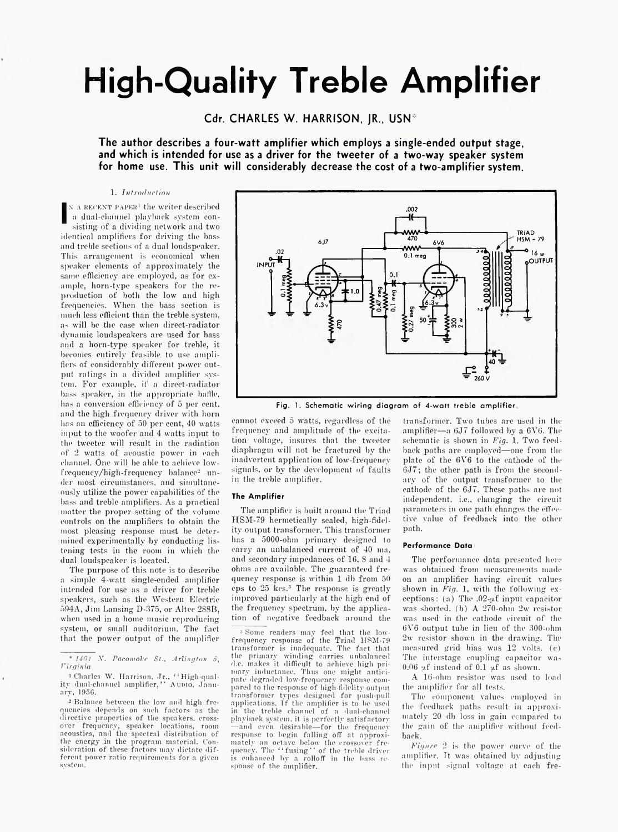# **High-Quality Treble Amplifier**

Cdr. CHARLES W. HARRISON, JR., USN<sup>\*</sup>

**The author describes a four-watt amplifier which employs a single-ended output stage, and which is intended for use as a driver for the tweeter of a two-way speaker system for home use. This unit will considerably decrease the cost of a two-amplifier system.**

1. *Introduction*

**I**  $N$  A RECENT PAPER<sup>1</sup> the writer described a dual-channel playback system consisting of a dividing network and two identical amplifiers for driving the bass and treble sections of a dual loudspeaker. This arrangement is economical when speaker elements of approximately the same efficiency are employed, as for example, horn-type speakers for the reproduction of both the low and high frequencies. When the bass section is much less efficient than the treble system. as will be the case when direct-radiator dynamic loudspeakers are used for bass and a horn-type speaker for treble, it becomes entirely feasible, to use amplifiers of considerably different power output ratings in a divided amplifier system. For example, if a direct-radiator bass speaker, in the appropriate baffle, has a conversion efficiency of 5 per cent, and the high frequency driver with horn has an efficiency of 50 per cent, 40 watts input to the woofer and 4 watts input to the tweeter will result in the radiation of 2 watts of acoustic power in each channel. One will be able to achieve lowfrequency/high-frequency balance2 under most circumstances, and simultaneously utilize the power capabilities of the bass and treble amplifiers. As a practical matter the proper setting of the volume controls on the amplifiers to obtain the most pleasing response must be determined experimentally by conducting listening tests in the room in which the dual loudspeaker is located.

The purpose of this note is to describe a simple 4-watt single-ended amplifier intended for use as a driver for treble speakers, such as the Western Electric 594A, Jim Lansing D-375, or Altec 2S8B, when used in a home music reproducing system, or small auditorium. The fact that the power output of the amplifier

2 Balance between the low and high frequencies depends on such factors as the directive properties of the speakers, crossover frequency, speaker locations, room acoustics, and the spectral distribution of the energy in the program material. Consideration of these factors may dictate different power ratio requirements for a given system.



Fig. 1. Schematic wiring diagram of 4-watt treble amplifier.

cannot exceed 5 watts, regardless of the frequency and amplitude of the excitation voltage, insures that the tweeter diaphragm will not be fractured by the inadvertent application of low-frequency signals, or by the development of faults in the treble amplifier.

## **The Amplifier**

The amplifier is built around the Triad HSM-79 hermetically sealed, high-fidelity output transformer. This transformer has a 5000-ohm primary designed to carry an unbalanced current of 40 ma, and secondary impedances of 16, 8 and 4 ohms are available. The guaranteed frequency response is within 1 db from 50 cps to 25 kcs.3 The response is greatly improved particularly at the high end of the frequency spectrum, by the application of negative feedback around the

3 Some readers may feel that the lowfrequency response of the Triad I1SM-79 transformer is inadequate. The fact that the primary winding carries unbalanced d.c. makes it difficult to achieve high primary inductance. Thus one might anticipate degraded low-frequency response compared to the response of high-fidelity output transformer types designed for push-pull applications. Tf the amplifier is to be used in the treble channel of a dual-channel playback system, it is perfectly satisfactory —and even desirable— for the frequency response to begin falling off at approxi-mately an octave below the crossover frequency. The " fusing" of the treble driver is enhanced by a rolloff in the bass response of the amplifier.

transformer. Two tubes are used in the amplifier—a 6J7 followed by a 6V6. The schematic is shown in *Fig.* 1. Two feedback paths are employed—one from the plate of the 6V6 to the cathode of the 6J7; the other path is from the secondary of the output transformer to the cathode of the 6J7. These paths are not independent, i.e., changing the circuit parameters in one path changes the effective value of feedback into the other path.

## **Performance Data**

The performance data presented here was obtained from measurements made on an amplifier having circuit values shown in *Fig.* 1, with the following exceptions : (a) The .02- $\mu$ f input capacitor was shorted, (b) A 270-ohm 2w resistor was used in the cathode circuit of the 6V6 output tube in lieu of the 300-ohm 2w resistor shown in the drawing. Tinmeasured grid bias was 12 volts, (c) The interstage coupling capacitor was  $0.06$  uf instead of  $0.1$  µf as shown.

A 16-ohm resistor was used to load the amplifier for all tests.

The component values employed in the feedback paths result in approximately 20 db loss in gain compared to the gain of the amplifier without feedback.

*Figure* 2 is the power curve of the amplifier. It was obtained by adjusting the input signal voltage at each fre-

<sup>\*</sup> *1401 X. Pocomol'e St., Arlington 5, Virgin ia*

<sup>&</sup>lt;sup>1</sup> Charles W. Harrison, Jr., "High-quality dual-channel amplifier,' ' A udio , January, 1956.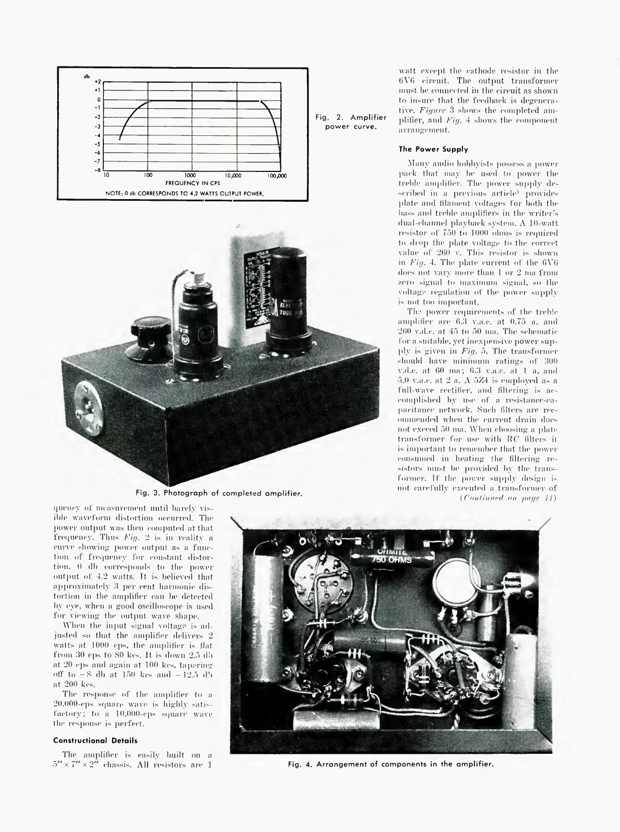



Fig. 3. Photograph of completed amplifier.

watt except the cathode resistor in the 6Y6 circuit. The output transformer must, be connected in the circuit as shown to insure that the feedback is degenerative. *Figure* 3 shows the completed amplifier, and *Fig.* 4 shows the component arrangement.

#### **The Power Supply**

power curve.

Many audio hobbyists possess a power pack that may be used to power the treble amplifier. The power supply described in a previous article<sup>1</sup> provides plate and lilameut voltages for both the bass and treble amplifiers in the writer's dual-channel playback system. A 10-watt resistor of 750 to 1000 ohms is required to drop the plate voltage to the correct value of 260 v. This resistor is shown in  $Fig. 4$ . The plate current of the  $6V6$ does not vary more than 1 or 2 ma from zero signal to maximum signal, so the voltage regulation of the power supply is not too important.

The power requirements of the treble amplifier are 6.3 v.a.c. at 0.75 a, and 260 v.d.e. at 45 to 50 mu. The schematic for a suitable, yet inexpensive power suplily is given in *Fig.* 5. The transformer should have minimum ratings of 300 v.d.e. at 00 inn; 0.3 v.a.c. at 1 a, and 5.0 v.a.c. at 2 a. A 5Z4 is employed as a full-wave rectifier, and filtering is accomplished by use of a resistance-capacitance network. Such filters are recommended when the current drain does not exceed 50 ma. When choosing a plate transformer for use with RO (liters it is important to remember that the power consumed in heating the filtering resistors must be provided by the transformer. If the power supply design is not carefully executed a transformer of *(Cniiliiniftl ini page 1-1)*

quency of measurement until barely visible waveform distortion occurred. The power output was then computed at that frequency. Thus *Fig.* 2 is in reality a curve showing power output as a function of frequency for constant distortion. 0 db corresponds to the power output of 4.2 watts. Tt is believed that approximately 3 per cent harmonic distortion in the amplifier can be detected by eye, when a good oscilloscope is used for viewing the output wave shape.

When the input signal voltage is adjusted so that the amplifier delivers 2 watts at 1000 cps, the amplifier is flat from 30 cps to SO kcs. It is down 2.5 db at 20 cps and again at 100 kcs, taperingoff to  $-8$  db at 150 kes and  $-12.5$  db at 200 kcs.

The response of the amplifier to a 20.000-cps square wave is highly satisfactory; to a 10,000-eps square wave the response is perfect.

# **Constructional Details**

The amplifier is easily built on a  $5^{\prime\prime}\times 7^{\prime\prime}\times 2^{\prime\prime}$  chassis. All resistors are  $1$ 



Fig. 4. Arrangement of components in the amplifier.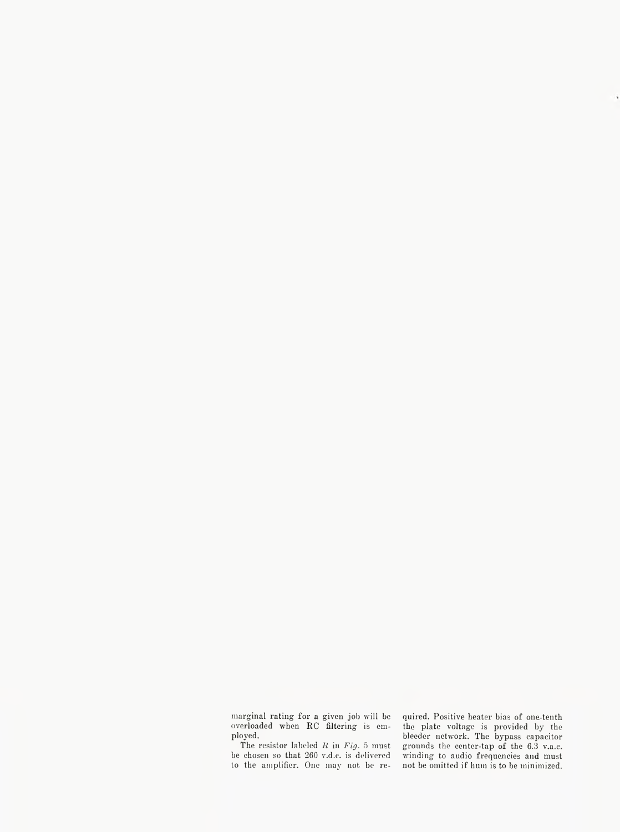marginal rating for a given job will be overloaded when  $\operatorname{RC}$  filtering is employed.

The resistor labeled *1{* in *Fig.* 5 must be chosen so that 260 v.d.c. is delivered to the amplifier. One may not be re-

quired. Positive heater bias of one-tenth the plate voltage is provided by the bleeder network. The bypass capacitor grounds the center-tap of the 6.3 v.a.c. winding to audio frequencies and must not be omitted if hum is to be minimized.